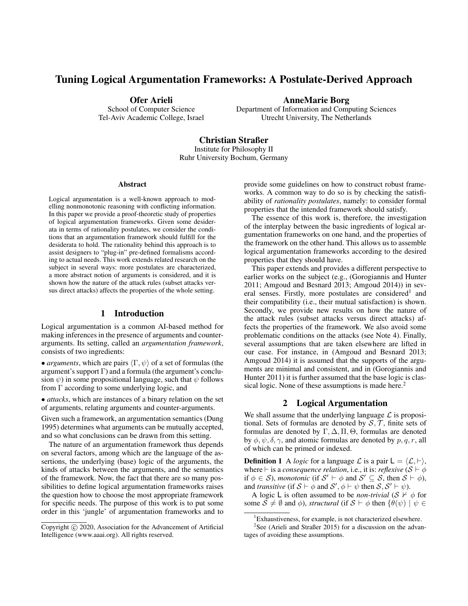# Tuning Logical Argumentation Frameworks: A Postulate-Derived Approach

Ofer Arieli School of Computer Science Tel-Aviv Academic College, Israel AnneMarie Borg

Department of Information and Computing Sciences Utrecht University, The Netherlands

Christian Straßer Institute for Philosophy II Ruhr University Bochum, Germany

#### **Abstract**

Logical argumentation is a well-known approach to modelling nonmonotonic reasoning with conflicting information. In this paper we provide a proof-theoretic study of properties of logical argumentation frameworks. Given some desiderata in terms of rationality postulates, we consider the conditions that an argumentation framework should fulfill for the desiderata to hold. The rationality behind this approach is to assist designers to "plug-in" pre-defined formalisms according to actual needs. This work extends related research on the subject in several ways: more postulates are characterized, a more abstract notion of arguments is considered, and it is shown how the nature of the attack rules (subset attacks versus direct attacks) affects the properties of the whole setting.

# 1 Introduction

Logical argumentation is a common AI-based method for making inferences in the presence of arguments and counterarguments. Its setting, called an *argumentation framework*, consists of two ingredients:

• *arguments*, which are pairs  $\langle \Gamma, \psi \rangle$  of a set of formulas (the argument's support  $\Gamma$ ) and a formula (the argument's conclusion  $\psi$ ) in some propositional language, such that  $\psi$  follows from  $\Gamma$  according to some underlying logic, and

• *attacks*, which are instances of a binary relation on the set of arguments, relating arguments and counter-arguments.

Given such a framework, an argumentation semantics (Dung 1995) determines what arguments can be mutually accepted, and so what conclusions can be drawn from this setting.

The nature of an argumentation framework thus depends on several factors, among which are the language of the assertions, the underlying (base) logic of the arguments, the kinds of attacks between the arguments, and the semantics of the framework. Now, the fact that there are so many possibilities to define logical argumentation frameworks raises the question how to choose the most appropriate framework for specific needs. The purpose of this work is to put some order in this 'jungle' of argumentation frameworks and to provide some guidelines on how to construct robust frameworks. A common way to do so is by checking the satisfiability of *rationality postulates*, namely: to consider formal properties that the intended framework should satisfy.

The essence of this work is, therefore, the investigation of the interplay between the basic ingredients of logical argumentation frameworks on one hand, and the properties of the framework on the other hand. This allows us to assemble logical argumentation frameworks according to the desired properties that they should have.

This paper extends and provides a different perspective to earlier works on the subject (e.g., (Gorogiannis and Hunter 2011; Amgoud and Besnard 2013; Amgoud 2014)) in several senses. Firstly, more postulates are considered<sup>1</sup> and their compatibility (i.e., their mutual satisfaction) is shown. Secondly, we provide new results on how the nature of the attack rules (subset attacks versus direct attacks) affects the properties of the framework. We also avoid some problematic conditions on the attacks (see Note 4). Finally, several assumptions that are taken elsewhere are lifted in our case. For instance, in (Amgoud and Besnard 2013; Amgoud 2014) it is assumed that the supports of the arguments are minimal and consistent, and in (Gorogiannis and Hunter 2011) it is further assumed that the base logic is classical logic. None of these assumptions is made here.<sup>2</sup>

### 2 Logical Argumentation

We shall assume that the underlying language  $\mathcal L$  is propositional. Sets of formulas are denoted by  $S, \mathcal{T}$ , finite sets of formulas are denoted by  $\Gamma$ ,  $\Delta$ ,  $\Pi$ ,  $\Theta$ , formulas are denoted by  $\phi$ ,  $\psi$ ,  $\delta$ ,  $\gamma$ , and atomic formulas are denoted by p, q, r, all of which can be primed or indexed.

**Definition 1** A *logic* for a language  $\mathcal{L}$  is a pair  $L = \langle \mathcal{L}, \vdash \rangle$ , where  $\vdash$  is a *consequence relation*, i.e., it is: *reflexive* ( $S \vdash \phi$ if  $\phi \in S$ ), *monotonic* (if  $S' \vdash \phi$  and  $S' \subseteq S$ , then  $S \vdash \phi$ ), and *transitive* (if  $S \vdash \phi$  and  $S', \phi \vdash \psi$  then  $S, S' \vdash \psi$ ).

A logic L is often assumed to be *non-trivial* ( $S \nvdash \phi$  for some  $S \neq \emptyset$  and  $\phi$ ), *structural* (if  $S \vdash \phi$  then  $\{\theta(\psi) \mid \psi \in \mathcal{S}\}$ 

Copyright (c) 2020, Association for the Advancement of Artificial Intelligence (www.aaai.org). All rights reserved.

<sup>&</sup>lt;sup>1</sup>Exhaustiveness, for example, is not characterized elsewhere.

<sup>&</sup>lt;sup>2</sup>See (Arieli and Straßer 2015) for a discussion on the advantages of avoiding these assumptions.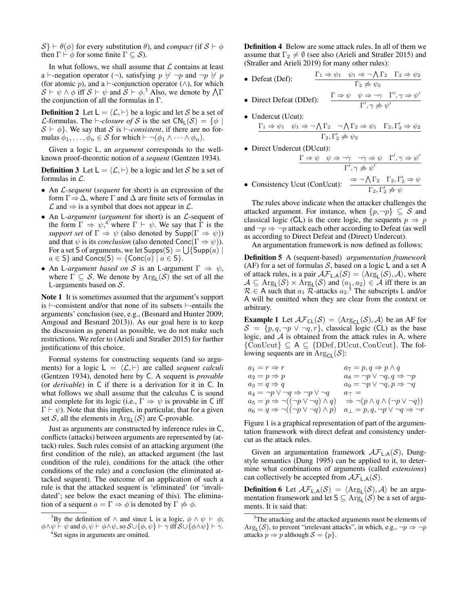$S \vdash \theta(\phi)$  for every substitution  $\theta$ ), and *compact* (if  $S \vdash \phi$ then  $\Gamma \vdash \phi$  for some finite  $\Gamma \subset \mathcal{S}$ ).

In what follows, we shall assume that  $\mathcal L$  contains at least a  $\vdash$ -negation operator  $(\neg)$ , satisfying  $p \not\vdash \neg p$  and  $\neg p \not\vdash p$ (for atomic p), and a  $\vdash$ -conjunction operator ( $\land$ ), for which  $\mathcal{S} \vdash \psi \land \phi$  iff  $\mathcal{S} \vdash \psi$  and  $\mathcal{S} \vdash \phi$ .<sup>3</sup> Also, we denote by  $\bigwedge \Gamma$ the conjunction of all the formulas in Γ.

**Definition 2** Let  $L = \langle \mathcal{L}, \vdash \rangle$  be a logic and let S be a set of *L*-formulas. The  $\vdash$ -*closure of* S is the set  $CN_L(S) = \{\phi \mid$  $S \vdash \phi$ . We say that S is *\\ine -consistent*, if there are no formulas  $\phi_1, \ldots, \phi_n \in \mathcal{S}$  for which  $\vdash \neg(\phi_1 \land \cdots \land \phi_n)$ .

Given a logic L, an *argument* corresponds to the wellknown proof-theoretic notion of a *sequent* (Gentzen 1934).

**Definition 3** Let  $L = \langle \mathcal{L}, \vdash \rangle$  be a logic and let S be a set of formulas in L.

- An L*-sequent* (*sequent* for short) is an expression of the form  $\Gamma \Rightarrow \Delta$ , where  $\Gamma$  and  $\Delta$  are finite sets of formulas in  $\mathcal L$  and  $\Rightarrow$  is a symbol that does not appear in  $\mathcal L$ .
- An L*-argument* (*argument* for short) is an L-sequent of the form  $\Gamma \Rightarrow \psi,^4$  where  $\Gamma \vdash \psi$ . We say that  $\overline{\Gamma}$  is the *support set* of  $\Gamma \Rightarrow \psi$  (also denoted by  $\textsf{Supp}(\Gamma \Rightarrow \psi)$ ) and that  $\psi$  is its *conclusion* (also denoted  $Conc(\Gamma \Rightarrow \psi)$ ). For a set S of arguments, we let  $\mathsf{Supps}(\mathsf{S}) = \bigcup \{\mathsf{Supp}(a) \mid \mathsf{S}(\mathsf{Supp}(a))\}$  $a \in S$  and Concs(S) = {Conc(a) |  $a \in S$  }.
- An L-*argument based on* S is an L-argument  $\Gamma \Rightarrow \psi$ , where  $\Gamma \subseteq \mathcal{S}$ . We denote by  $Arg_{\mathsf{L}}(\mathcal{S})$  the set of all the L-arguments based on S.

Note 1 It is sometimes assumed that the argument's support is  $\vdash$ -consistent and/or that none of its subsets  $\vdash$ -entails the arguments' conclusion (see, e.g., (Besnard and Hunter 2009; Amgoud and Besnard 2013)). As our goal here is to keep the discussion as general as possible, we do not make such restrictions. We refer to (Arieli and Straßer 2015) for further justifications of this choice.

Formal systems for constructing sequents (and so arguments) for a logic  $L = \langle L, \vdash \rangle$  are called *sequent calculi* (Gentzen 1934), denoted here by C. A sequent is *provable* (or *derivable*) in C if there is a derivation for it in C. In what follows we shall assume that the calculus C is sound and complete for its logic (i.e.,  $\Gamma \Rightarrow \psi$  is provable in C iff  $\Gamma \vdash \psi$ ). Note that this implies, in particular, that for a given set S, all the elements in  $\text{Arg}_{\mathsf{L}}(\mathcal{S})$  are C-provable.

Just as arguments are constructed by inference rules in C, conflicts (attacks) between arguments are represented by (attack) rules. Such rules consist of an attacking argument (the first condition of the rule), an attacked argument (the last condition of the rule), conditions for the attack (the other conditions of the rule) and a conclusion (the eliminated attacked sequent). The outcome of an application of such a rule is that the attacked sequent is 'eliminated' (or 'invalidated'; see below the exact meaning of this). The elimination of a sequent  $a = \Gamma \Rightarrow \phi$  is denoted by  $\Gamma \not\Rightarrow \phi$ .

<sup>3</sup>By the definition of  $\land$  and since L is a logic,  $\phi \land \psi \vdash \phi$ ;  $\phi \land \psi \vdash \psi$  and  $\phi, \psi \vdash \phi \land \psi$ , so  $\mathcal{S} \cup {\phi, \psi} \vdash \gamma$  iff  $\mathcal{S} \cup {\phi \land \psi} \vdash \gamma$ .

4 Set signs in arguments are omitted.

Definition 4 Below are some attack rules. In all of them we assume that  $\Gamma_2 \neq \emptyset$  (see also (Arieli and Straßer 2015) and (Straßer and Arieli 2019) for many other rules):

- Defeat (Def):  $\frac{\Gamma_1 \Rightarrow \psi_1 \quad \psi_1 \Rightarrow \neg \bigwedge \Gamma_2 \quad \Gamma_2 \Rightarrow \psi_2}{\Gamma_1 \Rightarrow \bigwedge \Gamma_2 \quad \Gamma_1 \Rightarrow \bigwedge \Gamma_2 \Rightarrow \psi_2}$  $\Gamma_2 \not\Rightarrow \psi_2$
- Direct Defeat (DDef):  $\frac{\Gamma \Rightarrow \psi \quad \psi \Rightarrow \neg \gamma \quad \Gamma', \gamma \Rightarrow \psi'}{\Gamma'}$  $\Gamma', \gamma \not\Rightarrow \psi'$
- Undercut (Ucut):  $\Gamma_1 \Rightarrow \psi_1 \quad \psi_1 \Rightarrow \neg \bigwedge \Gamma_2 \quad \neg \bigwedge \Gamma_2 \Rightarrow \psi_1 \quad \Gamma_2, \Gamma'_2 \Rightarrow \psi_2$ 
	- $\Gamma_2, \Gamma'_2 \not \Rightarrow \psi_2$
- Direct Undercut (DUcut):

$$
\frac{\Gamma \Rightarrow \psi \quad \psi \Rightarrow \neg \gamma \quad \neg \gamma \Rightarrow \psi \quad \Gamma', \gamma \Rightarrow \psi'}{\Gamma', \gamma \not\Rightarrow \psi'}
$$
\n• Consistency Ucut (ConUcut):  
\n
$$
\frac{\Rightarrow \neg \bigwedge \Gamma_2 \quad \Gamma_2, \Gamma'_2 \Rightarrow \psi}{\Gamma_2, \Gamma'_2 \not\Rightarrow \psi}
$$

The rules above indicate when the attacker challenges the attacked argument. For instance, when  $\{p, \neg p\} \subseteq S$  and classical logic (CL) is the core logic, the sequents  $p \Rightarrow p$ and  $\neg p \Rightarrow \neg p$  attack each other according to Defeat (as well as according to Direct Defeat and (Direct) Undercut).

An argumentation framework is now defined as follows:

Definition 5 A (sequent-based) *argumentation framework* (AF) for a set of formulas S, based on a logic  $\mathsf L$  and a set A of attack rules, is a pair  $\mathcal{AF}_{L,A}(\mathcal{S}) = \langle \text{Arg}_{L}(\mathcal{S}), \mathcal{A} \rangle$ , where  $\mathcal{A} \subseteq \text{Arg}_{\mathsf{L}}(\mathcal{S}) \times \text{Arg}_{\mathsf{L}}(\mathcal{S})$  and  $(a_1, a_2) \in \mathcal{A}$  iff there is an  $\mathcal{R} \in A$  such that  $a_1 \mathcal{R}$ -attacks  $a_2$ .<sup>5</sup> The subscripts L and/or A will be omitted when they are clear from the context or arbitrary.

**Example 1** Let  $\mathcal{AF}_{CL}(\mathcal{S}) = \langle \text{Arg}_{CL}(\mathcal{S}), \mathcal{A} \rangle$  be an AF for  $S = \{p, q, \neg p \lor \neg q, r\}$ , classical logic (CL) as the base logic, and  $A$  is obtained from the attack rules in A, where  $\{ConUcut\} \subseteq A \subseteq \{DDef, DUcut, ConUcut\}$ . The following sequents are in  $\text{Arg}_{\text{CL}}(\mathcal{S})$ :

| $a_1 = r \Rightarrow r$                                   | $a_7 = p, q \Rightarrow p \wedge q$                       |
|-----------------------------------------------------------|-----------------------------------------------------------|
| $a_2 = p \Rightarrow p$                                   | $a_8 = \neg p \lor \neg q, q \Rightarrow \neg p$          |
| $a_3 = q \Rightarrow q$                                   | $a_9 = \neg p \lor \neg q, p \Rightarrow \neg q$          |
| $a_4 = \neg p \lor \neg q \Rightarrow \neg p \lor \neg q$ | $a_{\top} =$                                              |
| $a_5 = p \Rightarrow \neg((\neg p \lor \neg q) \land q)$  | $\Rightarrow \neg (p \land q \land (\neg p \lor \neg q))$ |
| $a_6 = q \Rightarrow \neg((\neg p \lor \neg q) \land p)$  | $a_{\perp} = p, q, \neg p \lor \neg q \Rightarrow \neg r$ |

Figure 1 is a graphical representation of part of the argumentation framework with direct defeat and consistency undercut as the attack rules.

Given an argumentation framework  $\mathcal{AF}_{LA}(\mathcal{S})$ , Dungstyle semantics (Dung 1995) can be applied to it, to determine what combinations of arguments (called *extensions*) can collectively be accepted from  $\mathcal{AF}_{LA}(\mathcal{S})$ .

**Definition 6** Let  $\mathcal{AF}_{L,A}(\mathcal{S}) = \langle \text{Arg}_{L}(\mathcal{S}), \mathcal{A} \rangle$  be an argumentation framework and let  $S \subseteq \text{Arg}_{L}(S)$  be a set of arguments. It is said that:

 $5$ The attacking and the attacked arguments must be elements of  $Arg_{L}(\mathcal{S})$ , to prevent "irrelevant attacks", in which, e.g.,  $\neg p \Rightarrow \neg p$ attacks  $p \Rightarrow p$  although  $S = \{p\}.$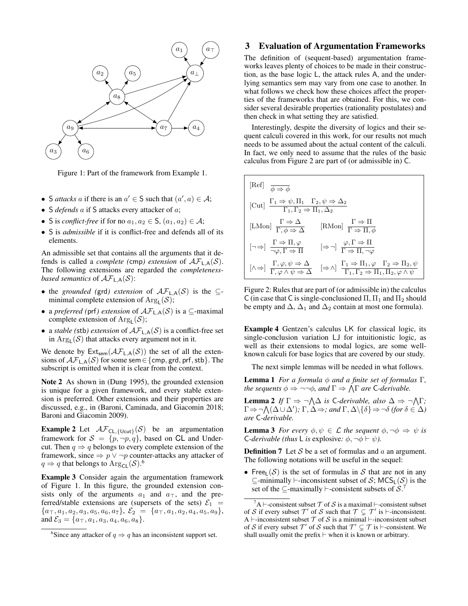

Figure 1: Part of the framework from Example 1.

- S *attacks* a if there is an  $a' \in S$  such that  $(a', a) \in A$ ;
- S *defends* a if S attacks every attacker of a;
- S is *conflict-free* if for no  $a_1, a_2 \in S$ ,  $(a_1, a_2) \in A$ ;
- S is *admissible* if it is conflict-free and defends all of its elements.

An admissible set that contains all the arguments that it defends is called a *complete* (cmp) *extension* of  $\mathcal{AF}_{LA}(\mathcal{S})$ . The following extensions are regarded the *completenessbased semantics* of  $\mathcal{AF}_{\mathsf{LA}}(\mathcal{S})$ :

- the *grounded* (grd) extension of  $\mathcal{AF}_{LA}(S)$  is the  $\subseteq$ minimal complete extension of  $Arg_{\mathsf{L}}(\mathcal{S})$ ;
- a *preferred (*prf*) extension* of AFL,A(S) is a ⊆-maximal complete extension of  $Arg_{L}(\mathcal{S})$ ;
- a *stable* (stb) *extension* of  $\mathcal{AF}_{\mathsf{LA}}(\mathcal{S})$  is a conflict-free set in  $\text{Arg}_{\mathsf{L}}(\mathcal{S})$  that attacks every argument not in it.

We denote by  $Ext_{sem}(\mathcal{AF}_{L,A}(\mathcal{S}))$  the set of all the extensions of  $\mathcal{AF}_{L,\mathsf{A}}(\mathcal{S})$  for some sem  $\in \{\mathsf{cmp}, \mathsf{grd}, \mathsf{prf}, \mathsf{stb}\}.$  The subscript is omitted when it is clear from the context.

Note 2 As shown in (Dung 1995), the grounded extension is unique for a given framework, and every stable extension is preferred. Other extensions and their properties are discussed, e.g., in (Baroni, Caminada, and Giacomin 2018; Baroni and Giacomin 2009).

**Example 2** Let  $\mathcal{AF}_{CL, \{Ucut\}}(\mathcal{S})$  be an argumentation framework for  $S = \{p, \neg p, q\}$ , based on CL and Undercut. Then  $q \Rightarrow q$  belongs to every complete extension of the framework, since  $\Rightarrow p \lor \neg p$  counter-attacks any attacker of  $q \Rightarrow q$  that belongs to  $\text{Arg}_{\text{CL}}(\mathcal{S})$ .<sup>6</sup>

Example 3 Consider again the argumentation framework of Figure 1. In this figure, the grounded extension consists only of the arguments  $a_1$  and  $a_{\overline{1}}$ , and the preferred/stable extensions are (supersets of the sets)  $\mathcal{E}_1$  =  ${a_{\top}, a_1, a_2, a_3, a_5, a_6, a_7}, \mathcal{E}_2 = {a_{\top}, a_1, a_2, a_4, a_5, a_9},$ and  $\mathcal{E}_3 = \{a_{\top}, a_1, a_3, a_4, a_6, a_8\}.$ 

## 3 Evaluation of Argumentation Frameworks

The definition of (sequent-based) argumentation frameworks leaves plenty of choices to be made in their construction, as the base logic L, the attack rules A, and the underlying semantics sem may vary from one case to another. In what follows we check how these choices affect the properties of the frameworks that are obtained. For this, we consider several desirable properties (rationality postulates) and then check in what setting they are satisfied.

Interestingly, despite the diversity of logics and their sequent calculi covered in this work, for our results not much needs to be assumed about the actual content of the calculi. In fact, we only need to assume that the rules of the basic calculus from Figure 2 are part of (or admissible in) C.

| [Ref] $\overline{\phi \Rightarrow \phi}$                                                                                                  |                                                                                                                                                                            |  |  |
|-------------------------------------------------------------------------------------------------------------------------------------------|----------------------------------------------------------------------------------------------------------------------------------------------------------------------------|--|--|
| [Cut] $\frac{\Gamma_1 \Rightarrow \psi, \Pi_1 \quad \Gamma_2, \psi \Rightarrow \Delta_2}{\Gamma_1, \Gamma_2 \Rightarrow \Pi_1, \Delta_2}$ |                                                                                                                                                                            |  |  |
| [LMon] $\frac{\Gamma \Rightarrow \Delta}{\Gamma, \phi \Rightarrow \Delta}$                                                                | [RMon] $\frac{\Gamma \Rightarrow \Pi}{\Gamma \Rightarrow \Pi \phi}$                                                                                                        |  |  |
| $[\neg \Rightarrow] \frac{\Gamma \Rightarrow \Pi, \varphi}{\neg \varphi, \Gamma \Rightarrow \Pi}$                                         | $[\Rightarrow \neg] \frac{\varphi, \Gamma \Rightarrow \Pi}{\Gamma \Rightarrow \Pi, \neg \varphi}$                                                                          |  |  |
| $[\wedge \Rightarrow] \frac{\Gamma, \varphi, \psi \Rightarrow \Delta}{\Gamma, \varphi \wedge \psi \Rightarrow \Delta}$                    | $[\Rightarrow \wedge] \frac{\Gamma_1 \Rightarrow \Pi_1, \varphi \quad \Gamma_2 \Rightarrow \Pi_2, \psi}{\Gamma_1, \Gamma_2 \Rightarrow \Pi_1, \Pi_2, \varphi \wedge \psi}$ |  |  |

Figure 2: Rules that are part of (or admissible in) the calculus C (in case that C is single-conclusioned  $\Pi$ ,  $\Pi_1$  and  $\Pi_2$  should be empty and  $\Delta$ ,  $\Delta_1$  and  $\Delta_2$  contain at most one formula).

Example 4 Gentzen's calculus LK for classical logic, its single-conclusion variation LJ for intuitionistic logic, as well as their extensions to modal logics, are some wellknown calculi for base logics that are covered by our study.

The next simple lemmas will be needed in what follows.

**Lemma 1** *For a formula*  $φ$  *and a finite set of formulas* Γ, *the sequents*  $\phi \Rightarrow \neg \neg \phi$ *, and*  $\Gamma \Rightarrow \Lambda \Gamma$  *are* C-*derivable.* 

**Lemma 2** If  $\Gamma \Rightarrow \neg \wedge \Delta$  is C-derivable, also  $\Delta \Rightarrow \neg \wedge \Gamma$ ;  $\Gamma \Rightarrow \neg \bigwedge (\Delta \cup \Delta')$ ;  $\Gamma, \Delta \Rightarrow$ ; and  $\Gamma, \Delta \setminus \{\delta\} \Rightarrow \neg \delta$  (for  $\delta \in \Delta$ ) *are* C*-derivable.*

**Lemma 3** *For every*  $\phi, \psi \in \mathcal{L}$  *the sequent*  $\phi, \neg \phi \Rightarrow \psi$  *is* C-derivable (thus L is explosive:  $\phi$ ,  $\neg \phi \vdash \psi$ ).

**Definition 7** Let S be a set of formulas and a an argument. The following notations will be useful in the sequel:

• Free<sub>l</sub>  $(S)$  is the set of formulas in S that are not in any  $\subseteq$ -minimally  $\vdash$ -inconsistent subset of S; MCS<sub>L</sub>(S) is the set of the  $\subseteq$ -maximally  $\vdash$ -consistent subsets of S. 7

<sup>&</sup>lt;sup>6</sup>Since any attacker of  $q \Rightarrow q$  has an inconsistent support set.

 ${}^{7}$ A  $\vdash$ -consistent subset  $\mathcal T$  of  $\mathcal S$  is a maximal  $\vdash$ -consistent subset of S if every subset  $\mathcal{T}'$  of S such that  $\mathcal{T} \subsetneq \mathcal{T}'$  is  $\vdash$ -inconsistent. A  $\vdash$ -inconsistent subset  $\mathcal T$  of  $\mathcal S$  is a minimal  $\vdash$ -inconsistent subset of S if every subset  $\mathcal{T}'$  of S such that  $\mathcal{T}' \subsetneq \mathcal{T}$  is  $\vdash$ -consistent. We shall usually omit the prefix  $\vdash$  when it is known or arbitrary.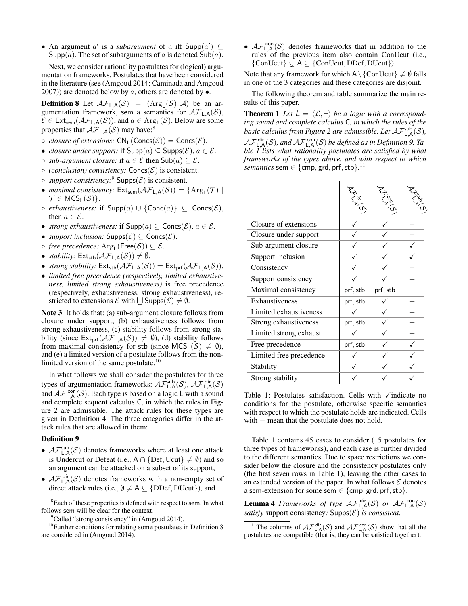• An argument  $a'$  is a *subargument* of a iff  $\textsf{Supp}(a') \subseteq$  $\mathsf{Supp}(a)$ . The set of subarguments of a is denoted  $\mathsf{Sub}(a)$ .

Next, we consider rationality postulates for (logical) argumentation frameworks. Postulates that have been considered in the literature (see (Amgoud 2014; Caminada and Amgoud 2007)) are denoted below by  $\circ$ , others are denoted by  $\bullet$ .

**Definition 8** Let  $\mathcal{AF}_{L,A}(\mathcal{S}) = \langle \text{Arg}_{L}(\mathcal{S}), \mathcal{A} \rangle$  be an argumentation framework, sem a semantics for  $\mathcal{AF}_{LA}(\mathcal{S})$ ,  $\mathcal{E} \in \text{Ext}_{\text{sem}}(\mathcal{AF}_{\mathsf{L},\mathsf{A}}(\mathcal{S}))$ , and  $a \in \text{Arg}_{\mathsf{L}}(\mathcal{S})$ . Below are some properties that  $\mathcal{AF}_{\mathsf{LA}}(\mathcal{S})$  may have:<sup>8</sup>

- $\circ$  *closure of extensions:*  $CN_L(Concs(\mathcal{E})) = Cons(\mathcal{E})$ .
- *closure under support:* if  $\mathsf{Supp}(a) \subseteq \mathsf{Supp}(\mathcal{E}), a \in \mathcal{E}$ .
- *sub-argument closure:* if a ∈ E then Sub(a) ⊆ E.
- $\circ$  *(conclusion) consistency:* Concs $(\mathcal{E})$  is consistent.
- $\circ$  *support consistency*:<sup>9</sup> Supps( $\mathcal{E}$ ) is consistent.
- *maximal consistency:*  $Ext_{sem}(\mathcal{AF}_{L,A}(\mathcal{S})) = \{Arg_{L}(\mathcal{T}) \mid$  $\mathcal{T} \in \mathsf{MCS}_\mathsf{L}(\mathcal{S})\}.$
- $\circ$  *exhaustiveness:* if  $\mathsf{Supp}(a) \cup \{\mathsf{Conc}(a)\}\subseteq \mathsf{Conc}( \mathcal{E}),$ then  $a \in \mathcal{E}$ .
- *strong exhaustiveness:* if  $\textsf{Supp}(a) \subseteq \textsf{Concs}(\mathcal{E}), a \in \mathcal{E}$ .
- *support inclusion:*  $\text{Supps}(\mathcal{E}) \subseteq \text{Concs}(\mathcal{E})$ .
- $\circ$  *free precedence:*  $\mathrm{Arg}_{\mathsf{L}}(\mathsf{Free}(\mathcal{S})) \subseteq \mathcal{E}.$
- *stability:*  $Ext_{\text{stb}}(\mathcal{AF}_{L,A}(\mathcal{S})) \neq \emptyset$ .
- *strong stability:*  $Ext_{\text{stb}}(\mathcal{AF}_{\text{L},\text{A}}(\mathcal{S})) = Ext_{\text{prf}}(\mathcal{AF}_{\text{L},\text{A}}(\mathcal{S})).$
- *limited free precedence (respectively, limited exhaustiveness, limited strong exhaustiveness)* is free precedence (respectively, exhaustiveness, strong exhaustiveness), restricted to extensions  $\mathcal E$  with  $\bigcup$  Supps $(\mathcal E) \neq \emptyset$ .

Note 3 It holds that: (a) sub-argument closure follows from closure under support, (b) exhaustiveness follows from strong exhaustiveness, (c) stability follows from strong stability (since  $Ext_{prf}(\mathcal{AF}_{L,A}(\mathcal{S})) \neq \emptyset$ ), (d) stability follows from maximal consistency for stb (since  $MCS_L(S) \neq \emptyset$ ), and (e) a limited version of a postulate follows from the nonlimited version of the same postulate.<sup>10</sup>

In what follows we shall consider the postulates for three types of argumentation frameworks:  $\mathcal{AF}_{L,A}^{sub}(\mathcal{S}), \, \mathcal{AF}_{L,A}^{dir}(\mathcal{S})$ and  $\mathcal{AF}_{\mathsf{L},\mathsf{A}}^{\mathsf{con}}(\mathcal{S})$ . Each type is based on a logic L with a sound and complete sequent calculus C, in which the rules in Figure 2 are admissible. The attack rules for these types are given in Definition 4. The three categories differ in the attack rules that are allowed in them:

#### Definition 9

- $\mathcal{AF}_{L,A}^{sub}(\mathcal{S})$  denotes frameworks where at least one attack is Undercut or Defeat (i.e.,  $A \cap \{Def, Ucut\} \neq \emptyset$ ) and so an argument can be attacked on a subset of its support,
- $\mathcal{AF}_{L,A}^{dir}(\mathcal{S})$  denotes frameworks with a non-empty set of direct attack rules (i.e.,  $\emptyset \neq A \subseteq \{DDef, DUcut\}$ ), and

•  $\mathcal{AF}_{L,A}^{con}(\mathcal{S})$  denotes frameworks that in addition to the rules of the previous item also contain ConUcut (i.e.,  $\{ConUcut\} \subsetneq A \subseteq \{ConUcut, DDef, DUcut\}).$ 

Note that any framework for which  $A \setminus \{ \text{ConUcut} \} \neq \emptyset$  falls in one of the 3 categories and these categories are disjoint.

The following theorem and table summarize the main results of this paper.

**Theorem 1** Let  $L = \langle L, \vdash \rangle$  be a logic with a correspond*ing sound and complete calculus* C*, in which the rules of the* basic calculus from Figure 2 are admissible. Let  $\mathcal{AF}^{\textsf{sub}}_{\mathsf{L},\mathsf{A}}(\mathcal{S})$ ,  $\mathcal{AF}_{\mathsf{L},\mathsf{A}}^{\mathsf{dir}}(\mathcal{S})$ , and  $\mathcal{AF}_{\mathsf{L},\mathsf{A}}^{\mathsf{con}}(\mathcal{S})$  be defined as in Definition 9. Ta*ble 1 lists what rationality postulates are satisfied by what frameworks of the types above, and with respect to which*  $semantics$  sem  $\in \{ \text{cmp}, \text{grd}, \text{prf}, \text{stb} \}.$ <sup>11</sup>

|                         | Aristy   | FCORLS   | Coleen |
|-------------------------|----------|----------|--------|
| Closure of extensions   |          |          |        |
| Closure under support   |          |          |        |
| Sub-argument closure    |          |          |        |
| Support inclusion       |          |          |        |
| Consistency             |          |          |        |
| Support consistency     |          |          |        |
| Maximal consistency     | prf, stb | prf, stb |        |
| Exhaustiveness          | prf, stb |          |        |
| Limited exhaustiveness  |          |          |        |
| Strong exhaustiveness   | prf, stb |          |        |
| Limited strong exhaust. |          |          |        |
| Free precedence         | prf, stb |          |        |
| Limited free precedence |          |          |        |
| Stability               |          |          |        |
| Strong stability        |          |          |        |

Table 1: Postulates satisfaction. Cells with  $\checkmark$  indicate no conditions for the postulate, otherwise specific semantics with respect to which the postulate holds are indicated. Cells with – mean that the postulate does not hold.

Table 1 contains 45 cases to consider (15 postulates for three types of frameworks), and each case is further divided to the different semantics. Due to space restrictions we consider below the closure and the consistency postulates only (the first seven rows in Table 1), leaving the other cases to an extended version of the paper. In what follows  $\mathcal E$  denotes a sem-extension for some sem  $\in \{\text{cmp}, \text{grd}, \text{prf}, \text{stb}\}.$ 

**Lemma 4** *Frameworks of type*  $\mathcal{AF}_{L,A}^{dir}(\mathcal{S})$  *or*  $\mathcal{AF}_{L,A}^{con}(\mathcal{S})$ *satisfy* support consistency:  $\text{Supps}(\mathcal{E})$  *is consistent.* 

<sup>&</sup>lt;sup>8</sup>Each of these properties is defined with respect to sem. In what follows sem will be clear for the context.

<sup>&</sup>lt;sup>9</sup>Called "strong consistency" in (Amgoud 2014).

<sup>&</sup>lt;sup>10</sup>Further conditions for relating some postulates in Definition 8 are considered in (Amgoud 2014).

<sup>&</sup>lt;sup>11</sup>The columns of  $\mathcal{AF}_{L,A}^{dir}(\mathcal{S})$  and  $\mathcal{AF}_{L,A}^{con}(\mathcal{S})$  show that all the postulates are compatible (that is, they can be satisfied together).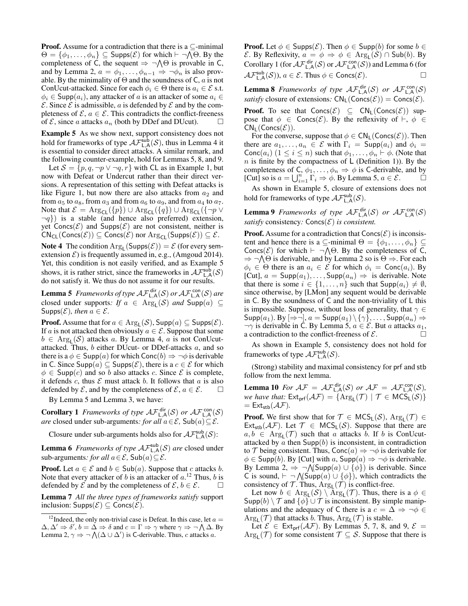**Proof.** Assume for a contradiction that there is a  $\subseteq$ -minimal  $\Theta = \{\phi_1, \ldots, \phi_n\} \subseteq$  Supps $(\mathcal{E})$  for which  $\vdash \neg \bigwedge \Theta$ . By the completeness of C, the sequent  $\Rightarrow \neg \wedge \Theta$  is provable in C, and by Lemma 2,  $a = \phi_1, \ldots, \phi_{n-1} \Rightarrow \neg \phi_n$  is also provable. By the minimality of  $\Theta$  and the soundness of C, a is not ConUcut-attacked. Since for each  $\phi_i \in \Theta$  there is  $a_i \in \mathcal{E}$  s.t.  $\phi_i \in \textsf{Supp}(a_i)$ , any attacker of a is an attacker of some  $a_i \in$  $\mathcal E$ . Since  $\mathcal E$  is admissible, a is defended by  $\mathcal E$  and by the completeness of  $\mathcal{E}$ ,  $a \in \mathcal{E}$ . This contradicts the conflict-freeness of  $\mathcal{E}$ , since a attacks  $a_n$  (both by DDef and DUcut).  $\Box$ 

Example 5 As we show next, support consistency does not hold for frameworks of type  $\mathcal{AF}^{\text{sub}}_{L,\mathsf{A}}(\mathcal{S})$ , thus in Lemma 4 it is essential to consider direct attacks. A similar remark, and the following counter-example, hold for Lemmas 5, 8, and 9.

Let  $S = \{p, q, \neg p \lor \neg q, r\}$  with CL as in Example 1, but now with Defeat or Undercut rather than their direct versions. A representation of this setting with Defeat attacks is like Figure 1, but now there are also attacks from  $a_2$  and from  $a_5$  to  $a_8$ , from  $a_3$  and from  $a_6$  to  $a_9$ , and from  $a_4$  to  $a_7$ . Note that  $\mathcal{E} = \text{Arg}_{\text{CL}}(\{p\}) \cup \text{Arg}_{\text{CL}}(\{q\}) \cup \text{Arg}_{\text{CL}}(\{\neg p \vee p\})$  $\neg q$ ) is a stable (and hence also preferred) extension, yet Concs( $\mathcal{E}$ ) and Supps( $\mathcal{E}$ ) are not consistent, neither is  $CN_{CL}(Concs(\mathcal{E})) \subseteq Cons(\mathcal{E})$  nor  $Arg_{CL}(Supps(\mathcal{E})) \subseteq \mathcal{E}$ .

**Note 4** The condition  $Arg_{L}(Supps(\mathcal{E})) = \mathcal{E}$  (for every semextension  $\mathcal{E}$ ) is frequently assumed in, e.g., (Amgoud 2014). Yet, this condition is not easily verified, and as Example 5 shows, it is rather strict, since the frameworks in  $\mathcal{AF}_{L,A}^{\text{sub}}(\mathcal{S})$ do not satisfy it. We thus do not assume it for our results.

**Lemma 5** Frameworks of type  $\mathcal{AF}_{L,A}^{dir}(\mathcal{S})$  or  $\mathcal{AF}_{L,A}^{con}(\mathcal{S})$  are closed under supports: *If*  $a \in \text{Arg}_{L}(S)$  *and*  $\text{Supp}(a) \subseteq$ Supps( $\mathcal{E}$ )*, then*  $a \in \mathcal{E}$ *.* 

**Proof.** Assume that for  $a \in \text{Arg}_{\mathsf{L}}(\mathcal{S})$ ,  $\text{Supp}(a) \subseteq \text{Supps}(\mathcal{E})$ . If a is not attacked then obviously  $a \in \mathcal{E}$ . Suppose that some  $b \in \text{Arg}_{\mathsf{L}}(\mathcal{S})$  attacks a. By Lemma 4, a is not ConUcutattacked. Thus,  $b$  either DUcut- or DDef-attacks  $a$ , and so there is a  $\phi \in \text{Supp}(a)$  for which Conc $(b) \Rightarrow \neg \phi$  is derivable in C. Since  $\text{Supp}(a) \subseteq \text{Supps}(\mathcal{E})$ , there is a  $c \in \mathcal{E}$  for which  $\phi \in \text{Supp}(c)$  and so b also attacks c. Since  $\mathcal E$  is complete, it defends c, thus  $\mathcal E$  must attack b. It follows that a is also defended by  $\mathcal E$ , and by the completeness of  $\mathcal E, a \in \mathcal E$ .  $\square$ 

By Lemma 5 and Lemma 3, we have:

**Corollary 1** *Frameworks of type*  $\mathcal{AF}_{L,A}^{dir}(\mathcal{S})$  *or*  $\mathcal{AF}_{L,A}^{con}(\mathcal{S})$ *are* closed under sub-arguments: *for all*  $a \in \mathcal{E}$ ,  $\mathsf{Sub}(a) \subseteq \mathcal{E}$ .

Closure under sub-arguments holds also for  $\mathcal{AF}^{\text{sub}}_{L,\mathsf{A}}(\mathcal{S})$ :

**Lemma 6** Frameworks of type  $\mathcal{AF}_{L,A}^{sub}(\mathcal{S})$  are closed under sub-arguments: for all  $a \in \mathcal{E}$ , Sub $(a) \subseteq \mathcal{E}$ .

**Proof.** Let  $a \in \mathcal{E}$  and  $b \in Sub(a)$ . Suppose that c attacks b. Note that every attacker of b is an attacker of  $a$ .<sup>12</sup> Thus, b is defended by  $\mathcal E$  and by the completeness of  $\mathcal E, b \in \mathcal E$ .

Lemma 7 *All the three types of frameworks satisfy* support inclusion:  $\mathsf{Supps}(\mathcal{E}) \subseteq \mathsf{Concs}(\mathcal{E})$ .

**Proof.** Let  $\phi \in \text{Supp}(\mathcal{E})$ . Then  $\phi \in \text{Supp}(b)$  for some  $b \in$ E. By Reflexivity,  $a = \phi \Rightarrow \phi \in \text{Arg}_{L}(\mathcal{S}) \cap \text{Sub}(b)$ . By Corollary 1 (for  $\mathcal{AF}_{\mathsf{L},\mathsf{A}}^{\mathsf{dir}}(\mathcal{S})$  or  $\mathcal{AF}_{\mathsf{L},\mathsf{A}}^{\mathsf{con}}(\mathcal{S})$ ) and Lemma 6 (for  $\mathcal{AF}_{\mathsf{L},\mathsf{A}}^{\mathsf{sub}}(\mathcal{S})$ ,  $a \in \mathcal{E}$ . Thus  $\phi \in \mathsf{Concs}(\mathcal{E})$ .

**Lemma 8** *Frameworks of type*  $\mathcal{AF}_{L,A}^{dir}(\mathcal{S})$  *or*  $\mathcal{AF}_{L,A}^{con}(\mathcal{S})$ *satisfy* closure of extensions:  $CN_L(Concs(\mathcal{E})) = Concs(\mathcal{E})$ *.* 

**Proof.** To see that  $Concs(\mathcal{E}) \subseteq CN_L(Concs(\mathcal{E}))$  suppose that  $\phi \in \text{Concs}(\mathcal{E})$ . By the reflexivity of  $\vdash, \phi \in$  $CN<sub>L</sub>$  (Concs $(\mathcal{E})$ ).

For the converse, suppose that  $\phi \in \mathsf{CN}_{\mathsf{L}}(\mathsf{Concs}(\mathcal{E}))$ . Then there are  $a_1, \ldots, a_n \in \mathcal{E}$  with  $\Gamma_i = \text{Supp}(a_i)$  and  $\phi_i =$ Conc $(a_i)$   $(1 \le i \le n)$  such that  $\phi_1, \ldots, \phi_n \vdash \phi$ . (Note that  $n$  is finite by the compactness of L (Definition 1)). By the completeness of C,  $\phi_1, \dots, \phi_n \Rightarrow \phi$  is C-derivable, and by [Cut] so is  $a = \bigcup_{i=1}^{n} \Gamma_i \Rightarrow \phi$ . By Lemma 5,  $a \in \mathcal{E}$ .

As shown in Example 5, closure of extensions does not hold for frameworks of type  $\mathcal{AF}_{L,A}^{\text{sub}}(\mathcal{S})$ .

**Lemma 9** *Frameworks of type*  $\mathcal{AF}_{L,A}^{dir}(\mathcal{S})$  *or*  $\mathcal{AF}_{L,A}^{con}(\mathcal{S})$ *satisfy* consistency:  $Concs(\mathcal{E})$  *is consistent.* 

**Proof.** Assume for a contradiction that  $Concs(\mathcal{E})$  is inconsistent and hence there is a  $\subseteq$ -minimal  $\Theta = {\phi_1, \ldots, \phi_n} \subseteq$ Concs( $\mathcal{E}$ ) for which  $\vdash \neg \bigwedge \Theta$ . By the completeness of C,  $\Rightarrow \neg \bigwedge \Theta$  is derivable, and by Lemma 2 so is  $\Theta \Rightarrow$ . For each  $\phi_i \in \Theta$  there is an  $a_i \in \mathcal{E}$  for which  $\phi_i = \text{Conc}(a_i)$ . By [Cut],  $a = \text{Supp}(a_1), \ldots, \text{Supp}(a_n) \Rightarrow$  is derivable. Note that there is some  $i \in \{1, \ldots, n\}$  such that  $\text{Supp}(a_i) \neq \emptyset$ , since otherwise, by [LMon] any sequent would be derivable in C. By the soundness of C and the non-triviality of L this is impossible. Suppose, without loss of generality, that  $\gamma \in$  $\mathsf{Supp}(a_1)$ . By  $[\Rightarrow\neg], a = \mathsf{Supp}(a_1) \setminus {\{\gamma\}}, \dots, \mathsf{Supp}(a_n) \Rightarrow$  $\neg \gamma$  is derivable in C. By Lemma 5,  $a \in \mathcal{E}$ . But a attacks  $a_1$ , a contradiction to the conflict-freeness of  $\mathcal{E}$ .

As shown in Example 5, consistency does not hold for frameworks of type  $\mathcal{AF}_{L,A}^{sub}(\mathcal{S})$ .

(Strong) stability and maximal consistency for prf and stb follow from the next lemma.

**Lemma 10** For  $A\mathcal{F} = A\mathcal{F}_{L,A}^{dir}(\mathcal{S})$  or  $A\mathcal{F} = A\mathcal{F}_{L,A}^{con}(\mathcal{S})$ , *we have that:*  $Ext_{\text{prf}}(\mathcal{AF}) = \{ \text{Arg}_{L}(\mathcal{T}) \mid \mathcal{T} \in \text{MCS}_{L}(\mathcal{S}) \}$  $=$  Ext<sub>stb</sub> $(\mathcal{AF})$ .

**Proof.** We first show that for  $\mathcal{T} \in \text{MCS}_L(\mathcal{S})$ ,  $\text{Arg}_L(\mathcal{T}) \in$  $Ext<sub>stb</sub>(AF)$ . Let  $T \in MCS<sub>L</sub>(S)$ . Suppose that there are  $a, b \in \text{Arg}_{\mathsf{L}}(\mathcal{T})$  such that a attacks b. If b is ConUcutattacked by a then  $\text{Supp}(b)$  is inconsistent, in contradiction to T being consistent. Thus,  $Conc(a) \Rightarrow \neg \phi$  is derivable for  $\phi \in \text{Supp}(b)$ . By [Cut] with a,  $\text{Supp}(a) \Rightarrow \neg \phi$  is derivable. By Lemma 2,  $\Rightarrow \neg \wedge (\text{Supp}(a) \cup \{\phi\})$  is derivable. Since C is sound,  $\vdash \neg \bigwedge (\mathsf{Supp}(a) \cup \{\phi\})$ , which contradicts the consistency of  $\mathcal T$ . Thus,  $\mathrm{Arg}_L(\mathcal T)$  is conflict-free.

Let now  $b \in \text{Arg}_{L}(\mathcal{S}) \setminus \text{Arg}_{L}(\mathcal{T})$ . Thus, there is a  $\phi \in$ Supp $(b) \setminus \mathcal{T}$  and  $\{\phi\} \cup \mathcal{T}$  is inconsistent. By simple manipulations and the adequacy of C there is a  $c = \Delta \Rightarrow \neg \phi \in$  $\text{Arg}_{\mathsf{L}}(\mathcal{T})$  that attacks b. Thus,  $\text{Arg}_{\mathsf{L}}(\mathcal{T})$  is stable.

Let  $\mathcal{E} \in \text{Ext}_{\text{prf}}(\mathcal{AF})$ . By Lemmas 5, 7, 8, and 9,  $\mathcal{E} =$  $Arg_{\mathsf{L}}(\mathcal{T})$  for some consistent  $\mathcal{T} \subseteq \mathcal{S}$ . Suppose that there is

<sup>&</sup>lt;sup>12</sup>Indeed, the only non-trivial case is Defeat. In this case, let  $a =$  $\Delta, \Delta' \Rightarrow \delta', b = \Delta \Rightarrow \delta$  and  $c = \Gamma \Rightarrow \gamma$  where  $\gamma \Rightarrow \neg \bigwedge \Delta$ . By Lemma 2,  $\gamma \Rightarrow \neg \bigwedge (\Delta \cup \Delta')$  is C-derivable. Thus, c attacks a.